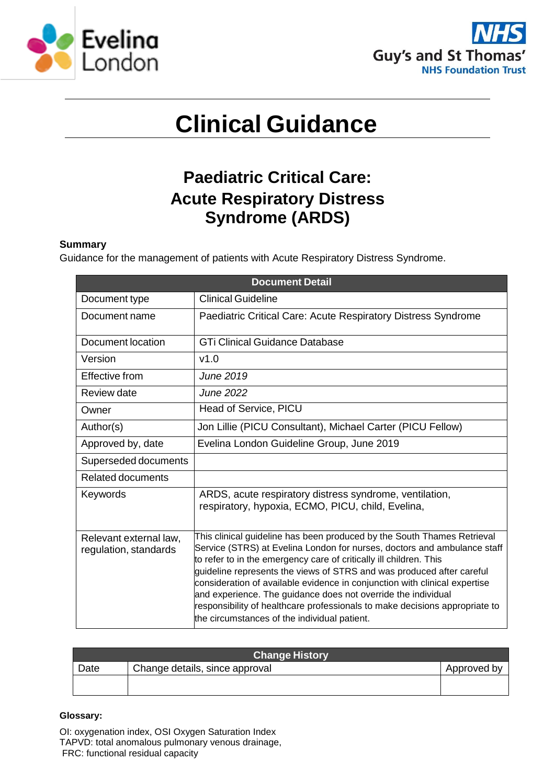



# **Clinical Guidance**

# **Paediatric Critical Care: Acute Respiratory Distress Syndrome (ARDS)**

# **Summary**

Guidance for the management of patients with Acute Respiratory Distress Syndrome.

| <b>Document Detail</b>                          |                                                                                                                                                                                                                                                                                                                                                                                                                                                                                                                                                                                  |  |  |  |
|-------------------------------------------------|----------------------------------------------------------------------------------------------------------------------------------------------------------------------------------------------------------------------------------------------------------------------------------------------------------------------------------------------------------------------------------------------------------------------------------------------------------------------------------------------------------------------------------------------------------------------------------|--|--|--|
| Document type                                   | <b>Clinical Guideline</b>                                                                                                                                                                                                                                                                                                                                                                                                                                                                                                                                                        |  |  |  |
| Document name                                   | Paediatric Critical Care: Acute Respiratory Distress Syndrome                                                                                                                                                                                                                                                                                                                                                                                                                                                                                                                    |  |  |  |
| Document location                               | <b>GTi Clinical Guidance Database</b>                                                                                                                                                                                                                                                                                                                                                                                                                                                                                                                                            |  |  |  |
| Version                                         | v1.0                                                                                                                                                                                                                                                                                                                                                                                                                                                                                                                                                                             |  |  |  |
| Effective from                                  | June 2019                                                                                                                                                                                                                                                                                                                                                                                                                                                                                                                                                                        |  |  |  |
| Review date                                     | <b>June 2022</b>                                                                                                                                                                                                                                                                                                                                                                                                                                                                                                                                                                 |  |  |  |
| Owner                                           | Head of Service, PICU                                                                                                                                                                                                                                                                                                                                                                                                                                                                                                                                                            |  |  |  |
| Author(s)                                       | Jon Lillie (PICU Consultant), Michael Carter (PICU Fellow)                                                                                                                                                                                                                                                                                                                                                                                                                                                                                                                       |  |  |  |
| Approved by, date                               | Evelina London Guideline Group, June 2019                                                                                                                                                                                                                                                                                                                                                                                                                                                                                                                                        |  |  |  |
| Superseded documents                            |                                                                                                                                                                                                                                                                                                                                                                                                                                                                                                                                                                                  |  |  |  |
| <b>Related documents</b>                        |                                                                                                                                                                                                                                                                                                                                                                                                                                                                                                                                                                                  |  |  |  |
| Keywords                                        | ARDS, acute respiratory distress syndrome, ventilation,<br>respiratory, hypoxia, ECMO, PICU, child, Evelina,                                                                                                                                                                                                                                                                                                                                                                                                                                                                     |  |  |  |
| Relevant external law,<br>regulation, standards | This clinical guideline has been produced by the South Thames Retrieval<br>Service (STRS) at Evelina London for nurses, doctors and ambulance staff<br>to refer to in the emergency care of critically ill children. This<br>guideline represents the views of STRS and was produced after careful<br>consideration of available evidence in conjunction with clinical expertise<br>and experience. The guidance does not override the individual<br>responsibility of healthcare professionals to make decisions appropriate to<br>the circumstances of the individual patient. |  |  |  |

| <b>Change History</b> |                                |             |  |  |
|-----------------------|--------------------------------|-------------|--|--|
| Date                  | Change details, since approval | Approved by |  |  |
|                       |                                |             |  |  |

#### **Glossary:**

OI: oxygenation index, OSI Oxygen Saturation Index TAPVD: total anomalous pulmonary venous drainage, FRC: functional residual capacity